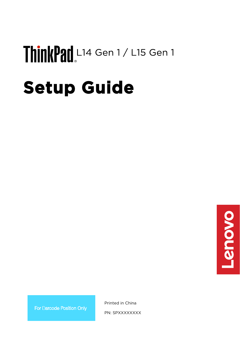# ThinkPad L14 Gen 1 / L15 Gen 1

# **Setup Guide**



For Barcode Position Only

Printed in China

PN: SPXXXXXXXX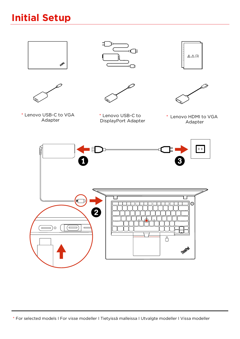# **Initial Setup**



\* For selected models I For visse modeller I Tietyissä malleissa I Utvalgte modeller I Vissa modeller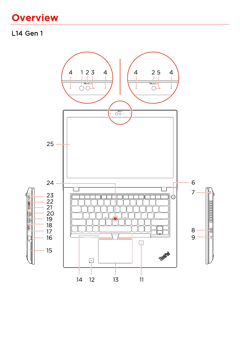## **Overview**

#### L14 Gen 1

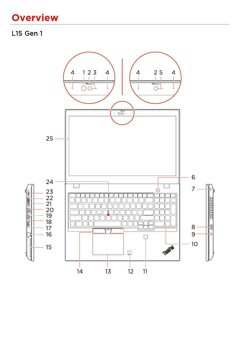## **Overview**

#### L15 Gen 1

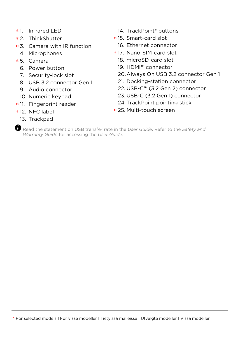- \* 1. Infrared LED
- \* 2. ThinkShutter
- \* 3. Camera with IR function
	- 4. Microphones
- \* 5. Camera
	- 6. Power button
	- 7. Security-lock slot
	- 8. USB 3.2 connector Gen 1
	- 9. Audio connector
	- 10. Numeric keypad
- \* 11. Fingerprint reader
- \* 12. NFC label
	- 13. Trackpad
- 14. TrackPoint® buttons
- \* 15. Smart-card slot
	- 16. Ethernet connector
- \* 17. Nano-SIM-card slot
	- 18. microSD-card slot
	- 19. HDMI™ connector
	- 20.Always On USB 3.2 connector Gen 1
	- 21. Docking-station connector
	- 22. USB-C™ (3.2 Gen 2) connector
	- 23. USB-C (3.2 Gen 1) connector
	- 24. TrackPoint pointing stick
- \* 25. Multi-touch screen

Read the statement on USB transfer rate in the *User Guide*. Refer to the *Safety and Warranty Guide* for accessing the *User Guide.*

<sup>\*</sup> For selected models I For visse modeller I Tietyissä malleissa I Utvalgte modeller I Vissa modeller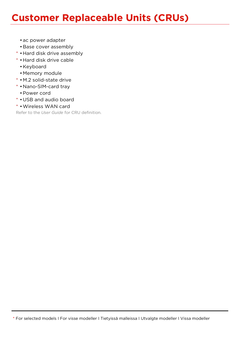### **Customer Replaceable Units (CRUs)**

- •ac power adapter
- •Base cover assembly
- \* •Hard disk drive assembly
- \* •Hard disk drive cable
	- •Keyboard
	- •Memory module
- \* •M.2 solid-state drive
- \* •Nano-SIM-card tray
	- •Power cord
- \* •USB and audio board
- \* •Wireless WAN card

Refer to the *User Guide* for CRU definition.

<sup>\*</sup> For selected models I For visse modeller I Tietyissä malleissa I Utvalgte modeller I Vissa modeller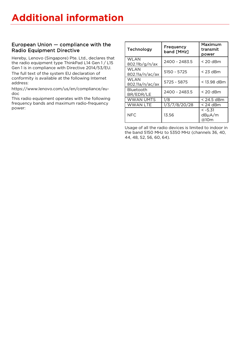#### European Union — compliance with the Radio Equipment Directive

Hereby, Lenovo (Singapore) Pte. Ltd., declares that the radio equipment type ThinkPad L14 Gen 1 / L15 Gen 1 is in compliance with Directive 2014/53/EU.

The full text of the system EU declaration of conformity is available at the following Internet address:

[https://www.lenovo.com/us/en/compliance/eu](https://www.lenovo.com/us/en/compliance/eu-doc)[doc](https://www.lenovo.com/us/en/compliance/eu-doc)

This radio equipment operates with the following frequency bands and maximum radio-frequency power:

| Technology               | Frequency<br>band [MHz] | Maximum<br>transmit<br>power |
|--------------------------|-------------------------|------------------------------|
| WI AN<br>802.11b/g/n/ax  | 2400 - 2483.5           | $<$ 20 dBm                   |
| WI AN<br>802.11a/n/ac/ax | 5150 - 5725             | $<$ 23 dBm                   |
| WI AN<br>802.11a/n/ac/ax | 5725 - 5875             | $< 13.98$ dBm                |
| Bluetooth<br>BR/EDR/LE   | 2400 - 2483.5           | $<$ 20 dBm                   |
| WWAN UMTS                | 1/8                     | $<$ 24.5 dBm                 |
| WWAN LTE                 | 1/3/7/8/20/28           | $< 24$ dBm                   |
| NFC.                     | 13.56                   | $<-5.31$<br>dBµA/m<br>@10m   |

Usage of all the radio devices is limited to indoor in the band 5150 MHz to 5350 MHz (channels 36, 40, 44, 48, 52, 56, 60, 64).